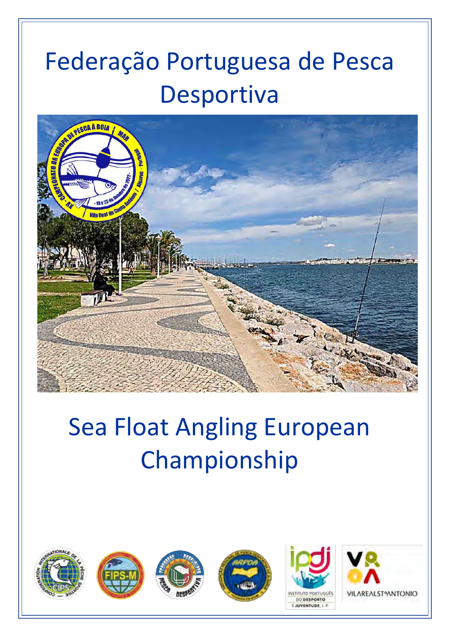# Federação Portuguesa de Pesca Desportiva



# Sea Float Angling European Championship



E JUVENTUDE, I. P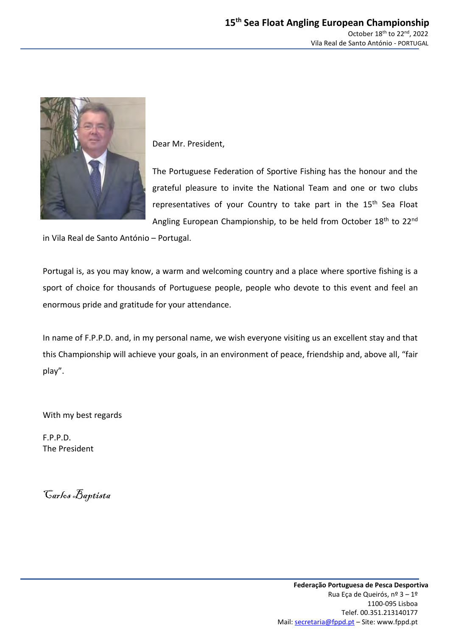

Dear Mr. President,

The Portuguese Federation of Sportive Fishing has the honour and the grateful pleasure to invite the National Team and one or two clubs representatives of your Country to take part in the 15<sup>th</sup> Sea Float Angling European Championship, to be held from October 18<sup>th</sup> to 22<sup>nd</sup>

in Vila Real de Santo António – Portugal.

Portugal is, as you may know, a warm and welcoming country and a place where sportive fishing is a sport of choice for thousands of Portuguese people, people who devote to this event and feel an enormous pride and gratitude for your attendance.

In name of F.P.P.D. and, in my personal name, we wish everyone visiting us an excellent stay and that this Championship will achieve your goals, in an environment of peace, friendship and, above all, "fair play".

With my best regards

F.P.P.D. The President

Carlos Baptista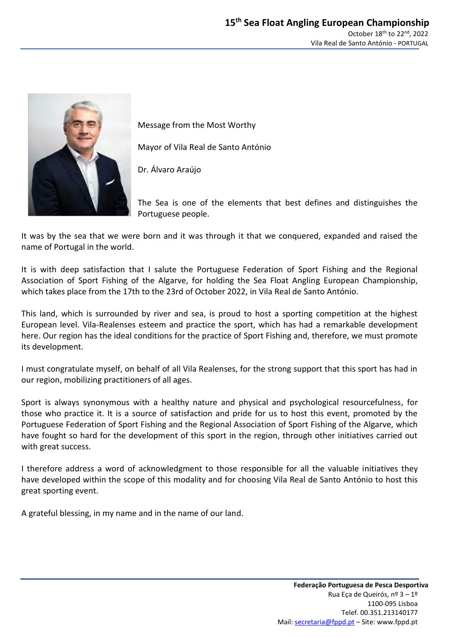

Message from the Most Worthy

Mayor of Vila Real de Santo António

Dr. Álvaro Araújo

The Sea is one of the elements that best defines and distinguishes the Portuguese people.

It was by the sea that we were born and it was through it that we conquered, expanded and raised the name of Portugal in the world.

It is with deep satisfaction that I salute the Portuguese Federation of Sport Fishing and the Regional Association of Sport Fishing of the Algarve, for holding the Sea Float Angling European Championship, which takes place from the 17th to the 23rd of October 2022, in Vila Real de Santo António.

This land, which is surrounded by river and sea, is proud to host a sporting competition at the highest European level. Vila-Realenses esteem and practice the sport, which has had a remarkable development here. Our region has the ideal conditions for the practice of Sport Fishing and, therefore, we must promote its development.

I must congratulate myself, on behalf of all Vila Realenses, for the strong support that this sport has had in our region, mobilizing practitioners of all ages.

Sport is always synonymous with a healthy nature and physical and psychological resourcefulness, for those who practice it. It is a source of satisfaction and pride for us to host this event, promoted by the Portuguese Federation of Sport Fishing and the Regional Association of Sport Fishing of the Algarve, which have fought so hard for the development of this sport in the region, through other initiatives carried out with great success.

I therefore address a word of acknowledgment to those responsible for all the valuable initiatives they have developed within the scope of this modality and for choosing Vila Real de Santo António to host this great sporting event.

A grateful blessing, in my name and in the name of our land.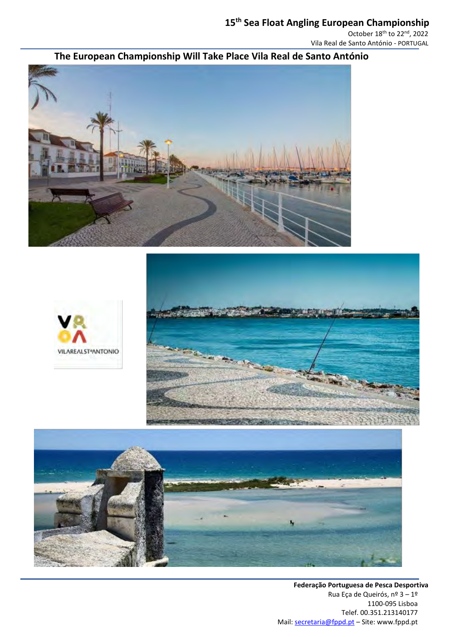# **15 th Sea Float Angling European Championship**

October 18<sup>th</sup> to 22<sup>nd</sup>, 2022 Vila Real de Santo António - PORTUGAL

# **The European Championship Will Take Place Vila Real de Santo António**







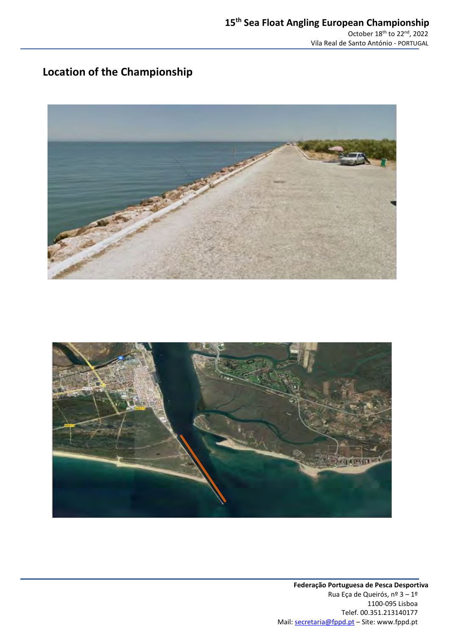# **Location of the Championship**



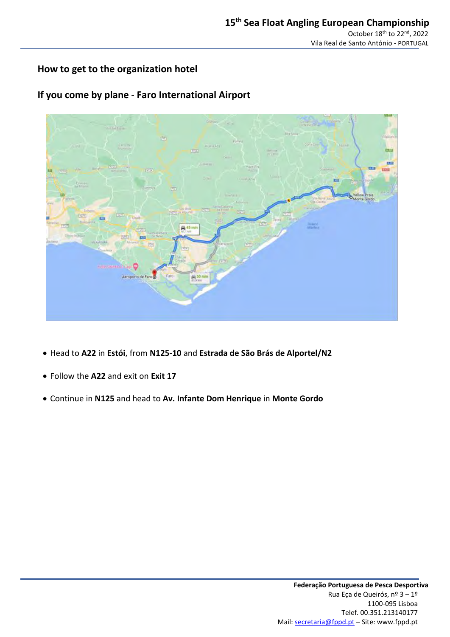### **How to get to the organization hotel**

### **If you come by plane** - **Faro International Airport**



- Head to **A22** in **Estói**, from **N125-10** and **Estrada de São Brás de Alportel/N2**
- Follow the **A22** and exit on **Exit 17**
- Continue in **N125** and head to **Av. Infante Dom Henrique** in **Monte Gordo**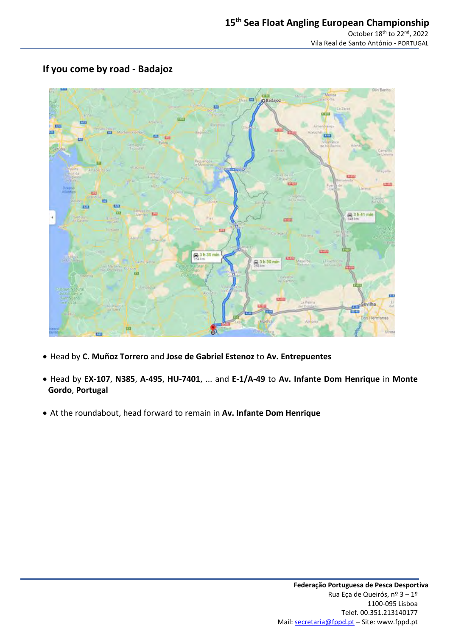

### **If you come by road - Badajoz**

- Head by **C. Muñoz Torrero** and **Jose de Gabriel Estenoz** to **Av. Entrepuentes**
- Head by **EX-107**, **N385**, **A-495**, **HU-7401**, ... and **E-1/A-49** to **Av. Infante Dom Henrique** in **Monte Gordo**, **Portugal**
- At the roundabout, head forward to remain in **Av. Infante Dom Henrique**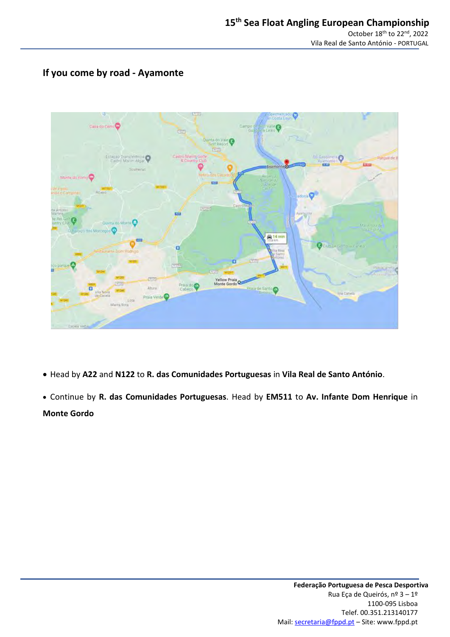### **If you come by road - Ayamonte**



- Head by **A22** and **N122** to **R. das Comunidades Portuguesas** in **Vila Real de Santo António**.
- Continue by **R. das Comunidades Portuguesas**. Head by **EM511** to **Av. Infante Dom Henrique** in **Monte Gordo**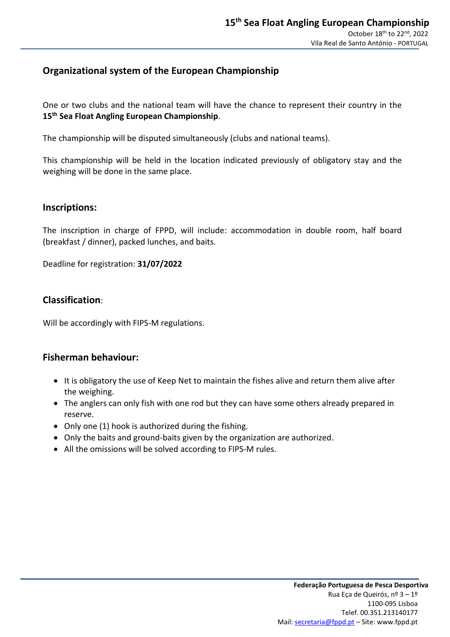### **Organizational system of the European Championship**

One or two clubs and the national team will have the chance to represent their country in the **15 th Sea Float Angling European Championship**.

The championship will be disputed simultaneously (clubs and national teams).

This championship will be held in the location indicated previously of obligatory stay and the weighing will be done in the same place.

### **Inscriptions:**

The inscription in charge of FPPD, will include: accommodation in double room, half board (breakfast / dinner), packed lunches, and baits.

Deadline for registration: **31/07/2022**

### **Classification**:

Will be accordingly with FIPS-M regulations.

### **Fisherman behaviour:**

- It is obligatory the use of Keep Net to maintain the fishes alive and return them alive after the weighing.
- The anglers can only fish with one rod but they can have some others already prepared in reserve.
- Only one (1) hook is authorized during the fishing.
- Only the baits and ground-baits given by the organization are authorized.
- All the omissions will be solved according to FIPS-M rules.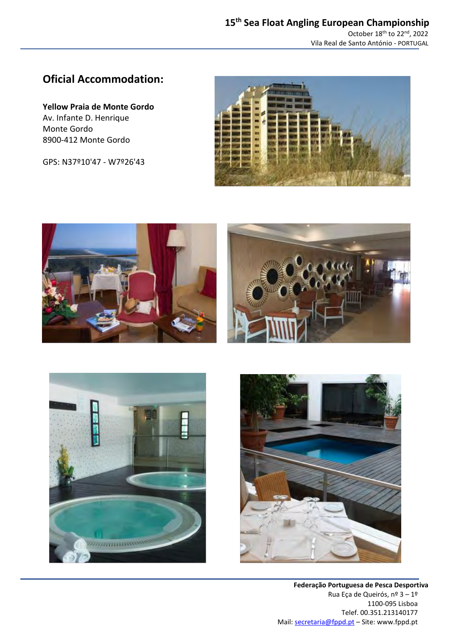### **Oficial Accommodation:**

**Yellow Praia de Monte Gordo** Av. Infante D. Henrique Monte Gordo 8900-412 Monte Gordo

GPS: N37º10'47 - W7º26'43









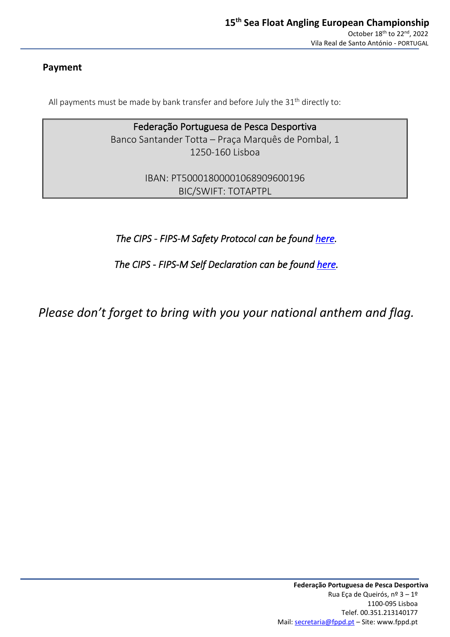### **Payment**

All payments must be made by bank transfer and before July the  $31<sup>th</sup>$  directly to:

Federação Portuguesa de Pesca Desportiva Banco Santander Totta – Praça Marquês de Pombal, 1 1250-160 Lisboa

> IBAN: PT50001800001068909600196 BIC/SWIFT: TOTAPTPL

*The CIPS - FIPS-M Safety Protocol can be found [here.](https://www.fips-m.org/upload/pdf/reglementsFIPS-M/2021/Covid/COVID%20Protocol%202021%20CIPS%20-%20FIPS-M%20%28EN%29.pdf)* 

*The CIPS - FIPS-M Self Declaration can be found [here.](https://www.fips-m.org/upload/pdf/reglementsFIPS-M/2021/Covid/COVID%20Self%20declaration%202021%20CIPS%20-%20FIPS-M%20%28EN%29.pdf)* 

*Please don't forget to bring with you your national anthem and flag.*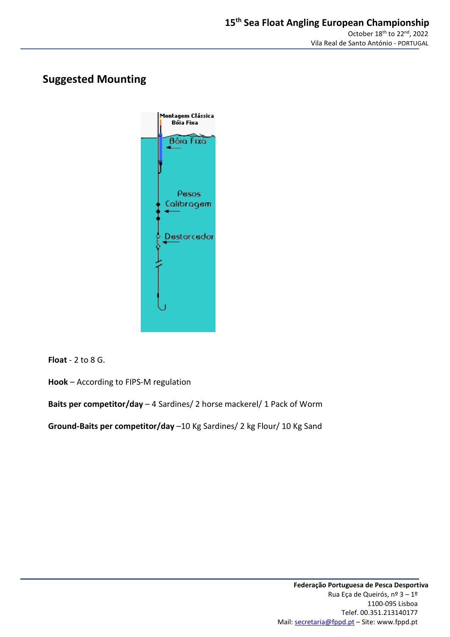### **Suggested Mounting**



**Float** - 2 to 8 G.

**Hook** – According to FIPS-M regulation

**Baits per competitor/day** – 4 Sardines/ 2 horse mackerel/ 1 Pack of Worm

**Ground-Baits per competitor/day** –10 Kg Sardines/ 2 kg Flour/ 10 Kg Sand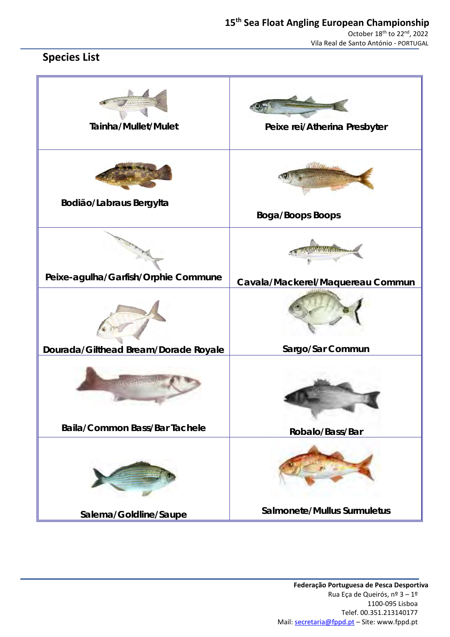# **Species List**

| Tainha/Mullet/Mulet                  | Peixe rei/Atherina Presbyter     |
|--------------------------------------|----------------------------------|
| Bodião/Labraus Bergylta              | Boga/Boops Boops                 |
| Peixe-agulha/Garfish/Orphie Commune  | Cavala/Mackerel/Maquereau Commun |
| Dourada/Gilthead Bream/Dorade Royale | Sargo/Sar Commun                 |
| Baila/Common Bass/Bar Tachele        |                                  |
|                                      | Robalo/Bass/Bar                  |
| Salema/Goldline/Saupe                | Salmonete/Mullus Surmuletus      |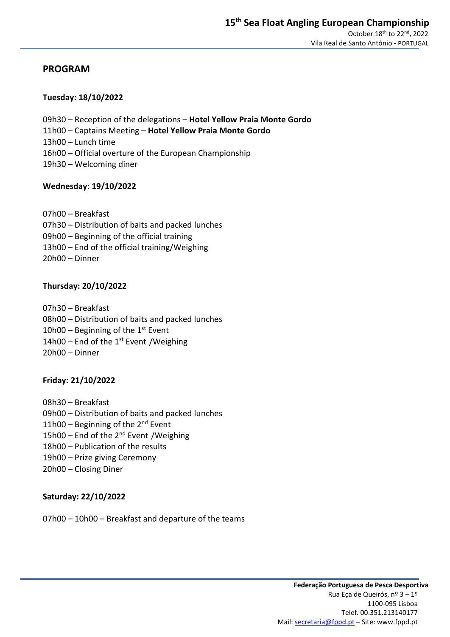### **PROGRAM**

### **Tuesday: 18/10/2022**

- 09h30 Reception of the delegations **Hotel Yellow Praia Monte Gordo**
- 11h00 Captains Meeting **Hotel Yellow Praia Monte Gordo**
- 13h00 Lunch time
- 16h00 Official overture of the European Championship
- 19h30 Welcoming diner

### **Wednesday: 19/10/2022**

- 07h00 Breakfast
- 07h30 Distribution of baits and packed lunches
- 09h00 Beginning of the official training
- 13h00 End of the official training/Weighing
- 20h00 Dinner

### **Thursday: 20/10/2022**

- 07h30 Breakfast
- 08h00 Distribution of baits and packed lunches
- 10h00 Beginning of the  $1<sup>st</sup>$  Event
- $14h00$  End of the 1st Event / Weighing
- 20h00 Dinner

### **Friday: 21/10/2022**

- 08h30 Breakfast
- 09h00 Distribution of baits and packed lunches
- 11h00 Beginning of the  $2^{nd}$  Event
- 15h00 End of the 2<sup>nd</sup> Event / Weighing
- 18h00 Publication of the results
- 19h00 Prize giving Ceremony
- 20h00 Closing Diner

### **Saturday: 22/10/2022**

07h00 – 10h00 – Breakfast and departure of the teams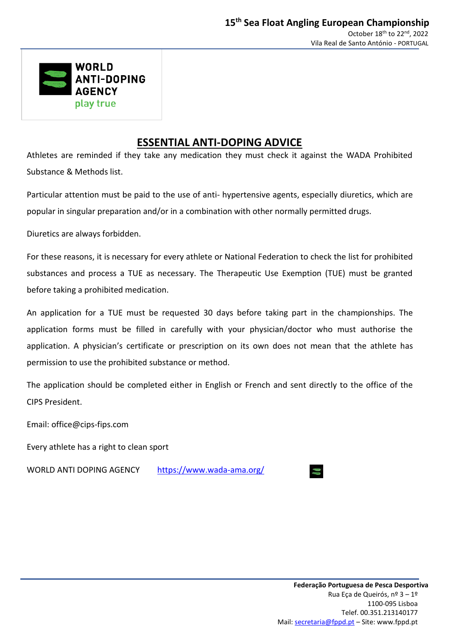

### **ESSENTIAL ANTI-DOPING ADVICE**

Athletes are reminded if they take any medication they must check it against the WADA Prohibited Substance & Methods list.

Particular attention must be paid to the use of anti- hypertensive agents, especially diuretics, which are popular in singular preparation and/or in a combination with other normally permitted drugs.

Diuretics are always forbidden.

For these reasons, it is necessary for every athlete or National Federation to check the list for prohibited substances and process a TUE as necessary. The Therapeutic Use Exemption (TUE) must be granted before taking a prohibited medication.

An application for a TUE must be requested 30 days before taking part in the championships. The application forms must be filled in carefully with your physician/doctor who must authorise the application. A physician's certificate or prescription on its own does not mean that the athlete has permission to use the prohibited substance or method.

The application should be completed either in English or French and sent directly to the office of the CIPS President.

Email: [office@cips-fips.com](mailto:office@cips-fips.com)

Every athlete has a right to clean sport

WORLD ANTI DOPING AGENCY <https://www.wada-ama.org/>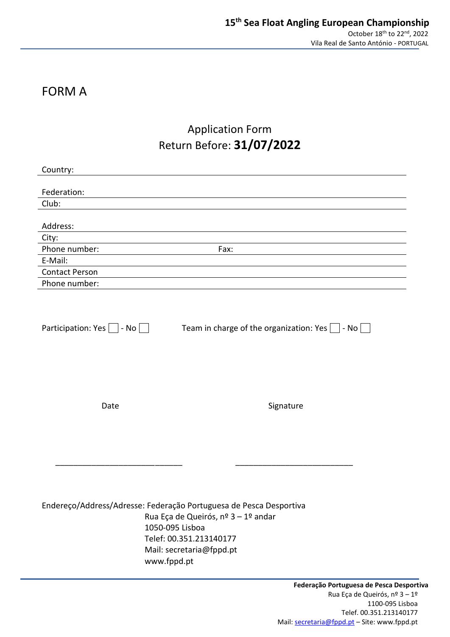# FORM A

# Application Form Return Before: **31/07/2022**

| Country:                                                                                             |                                                                                            |
|------------------------------------------------------------------------------------------------------|--------------------------------------------------------------------------------------------|
| Federation:                                                                                          |                                                                                            |
| Club:                                                                                                |                                                                                            |
|                                                                                                      |                                                                                            |
| Address:                                                                                             |                                                                                            |
| City:                                                                                                |                                                                                            |
| Phone number:                                                                                        | Fax:                                                                                       |
| E-Mail:                                                                                              |                                                                                            |
| <b>Contact Person</b>                                                                                |                                                                                            |
| Phone number:                                                                                        |                                                                                            |
| Participation: Yes $\Box$ - No $\Box$                                                                | Team in charge of the organization: Yes $\Box$ - No $\Box$                                 |
| Date                                                                                                 | Signature                                                                                  |
| Endereço/Address/Adresse: Federação Portuguesa de Pesca Desportiva<br>1050-095 Lisboa<br>www.fppd.pt | Rua Eça de Queirós, nº 3 - 1º andar<br>Telef: 00.351.213140177<br>Mail: secretaria@fppd.pt |
|                                                                                                      | Federação Portuguesa de Pesca Desp                                                         |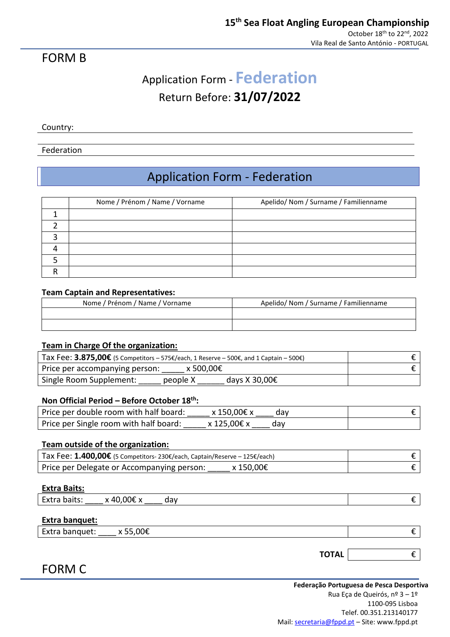### FORM B

# Application Form - **Federation** Return Before: **31/07/2022**

Country:

### Federation

# Application Form - Federation

| Nome / Prénom / Name / Vorname | Apelido/ Nom / Surname / Familienname |
|--------------------------------|---------------------------------------|
|                                |                                       |
|                                |                                       |
|                                |                                       |
|                                |                                       |
|                                |                                       |
|                                |                                       |

#### **Team Captain and Representatives:**

| Nome / Prénom / Name / Vorname | Apelido/ Nom / Surname / Familienname |
|--------------------------------|---------------------------------------|
|                                |                                       |
|                                |                                       |

### **Team in Charge Of the organization:**

| Tax Fee: 3.875,00€ (5 Competitors – 575€/each, 1 Reserve – 500€, and 1 Captain – 500€) |  |
|----------------------------------------------------------------------------------------|--|
| $x 500.00 \epsilon$<br>Price per accompanying person:                                  |  |
| Single Room Supplement:<br>days X 30,00 $\epsilon$<br>people X                         |  |

### **Non Official Period – Before October 18 th:**

| Price per double room with half board: | x 150,00€ x | dav |  |
|----------------------------------------|-------------|-----|--|
| Price per Single room with half board: | x 125,00€ x | dav |  |

### **Team outside of the organization:**

| Tax Fee: $1.400,00€$ (5 Competitors- 230€/each, Captain/Reserve – 125€/each) |  |
|------------------------------------------------------------------------------|--|
| x 150,00€<br>Price per Delegate or Accompanying person:                      |  |

#### **Extra Baits:**

| $\overline{\phantom{0}}$<br>$h \cap H$<br>Extra<br>Ddils.<br>_____ | ∩∩ғ<br>AC<br>H<br>$\mathbf{r}$<br>−. | .<br>uav |  |
|--------------------------------------------------------------------|--------------------------------------|----------|--|
|                                                                    |                                      |          |  |

#### **Extra banquet:**

FORM C

| Extra banquet: | 0.005 |  |
|----------------|-------|--|
|                |       |  |

### **TOTAL** €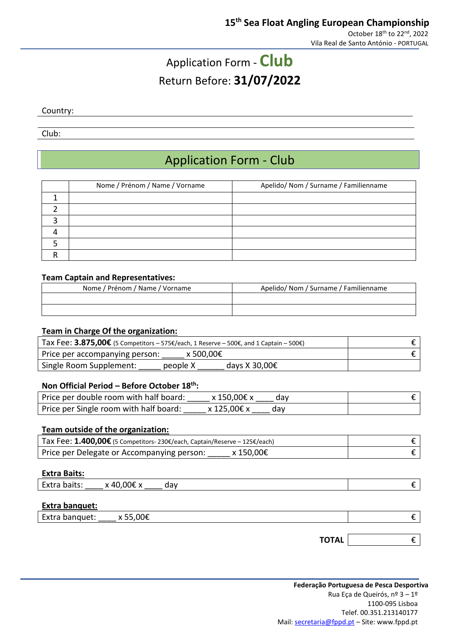# Application Form - **Club** Return Before: **31/07/2022**

Country:

Club:

# Application Form - Club

| Nome / Prénom / Name / Vorname | Apelido/ Nom / Surname / Familienname |
|--------------------------------|---------------------------------------|
|                                |                                       |
|                                |                                       |
|                                |                                       |
|                                |                                       |
|                                |                                       |
|                                |                                       |

### **Team Captain and Representatives:**

| Nome / Prénom / Name / Vorname | Apelido/ Nom / Surname / Familienname |
|--------------------------------|---------------------------------------|
|                                |                                       |
|                                |                                       |

### **Team in Charge Of the organization:**

| Tax Fee: 3.875,00€ (5 Competitors – 575€/each, 1 Reserve – 500€, and 1 Captain – 500€) |  |
|----------------------------------------------------------------------------------------|--|
| x 500.00€<br>Price per accompanying person:                                            |  |
| Single Room Supplement:<br>people X<br>days X 30,00 $\epsilon$                         |  |

### **Non Official Period – Before October 18 th:**

| Price per double room with half board: | x 150,00€ x | dav |  |
|----------------------------------------|-------------|-----|--|
| Price per Single room with half board: | x 125,00€ x | dav |  |

### **Team outside of the organization:**

| Tax Fee: $1.400,00€$ (5 Competitors- 230€/each, Captain/Reserve - 125€/each) |  |
|------------------------------------------------------------------------------|--|
| x 150,00€<br>Price per Delegate or Accompanying person:                      |  |

#### **Extra Baits:**

| -<br>-vtr<br>.<br>Dails.<br>∽ | ∩∩€<br>ΔО | udv |  |
|-------------------------------|-----------|-----|--|
|                               |           |     |  |

### **Extra banquet:**

| Extra banquet: | x 55,00€ |  |  |
|----------------|----------|--|--|
|----------------|----------|--|--|

**TOTAL** €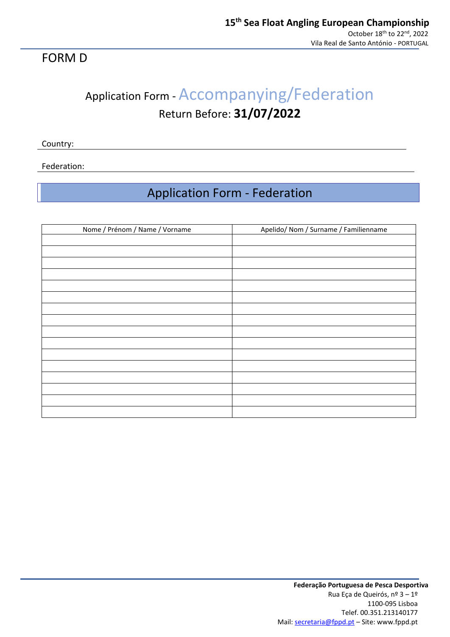### FORM D

# Application Form - Accompanying/Federation Return Before: **31/07/2022**

Country:

Federation:

# Application Form - Federation

| Nome / Prénom / Name / Vorname | Apelido/ Nom / Surname / Familienname |
|--------------------------------|---------------------------------------|
|                                |                                       |
|                                |                                       |
|                                |                                       |
|                                |                                       |
|                                |                                       |
|                                |                                       |
|                                |                                       |
|                                |                                       |
|                                |                                       |
|                                |                                       |
|                                |                                       |
|                                |                                       |
|                                |                                       |
|                                |                                       |
|                                |                                       |
|                                |                                       |